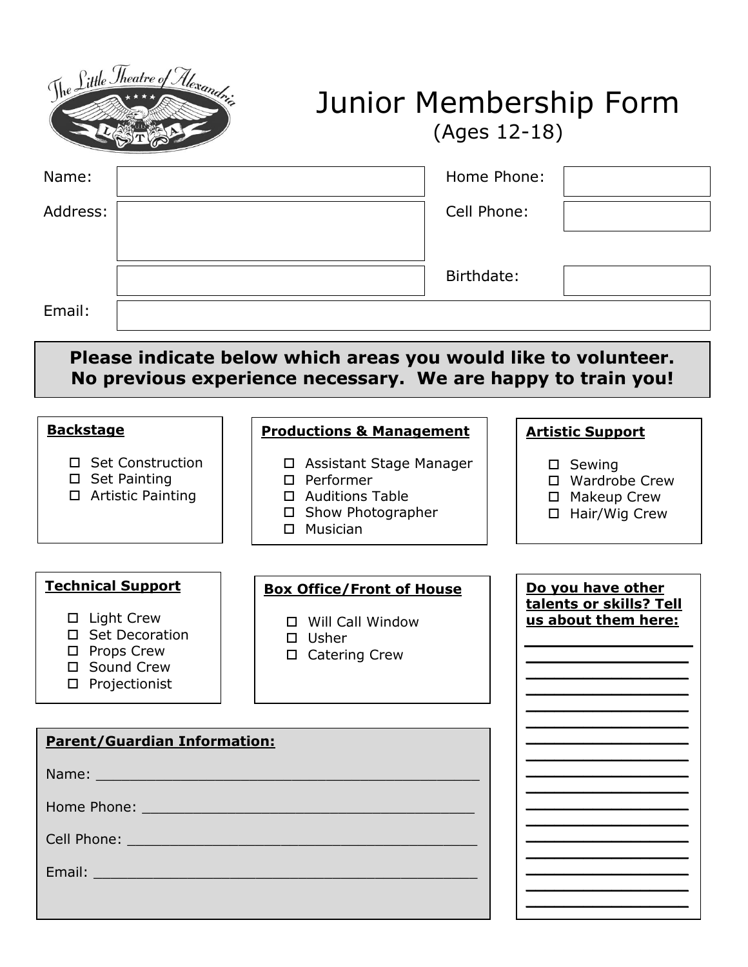

## Junior Membership Form (Ages 12-18)

**\_\_\_\_\_\_\_\_\_\_\_\_\_\_\_\_\_ \_\_\_\_\_\_\_\_\_\_\_\_\_\_\_\_\_ \_\_\_\_\_\_\_\_\_\_\_\_\_\_\_\_\_ \_\_\_\_\_\_\_\_\_\_\_\_\_\_\_\_\_ \_\_\_\_\_\_\_\_\_\_\_\_\_\_\_\_\_ \_\_\_\_\_\_\_\_\_\_\_\_\_\_\_\_\_ \_\_\_\_\_\_\_\_\_\_\_\_\_\_\_\_\_**

| Name:                                                                                                | Home Phone:                                                                                                        |                                                                 |
|------------------------------------------------------------------------------------------------------|--------------------------------------------------------------------------------------------------------------------|-----------------------------------------------------------------|
| Address:                                                                                             | Cell Phone:                                                                                                        |                                                                 |
|                                                                                                      |                                                                                                                    |                                                                 |
|                                                                                                      | Birthdate:                                                                                                         |                                                                 |
| Email:                                                                                               |                                                                                                                    |                                                                 |
|                                                                                                      | Please indicate below which areas you would like to volunteer.                                                     |                                                                 |
|                                                                                                      | No previous experience necessary. We are happy to train you!                                                       |                                                                 |
| <b>Backstage</b>                                                                                     | <b>Productions &amp; Management</b>                                                                                | <b>Artistic Support</b>                                         |
| □ Set Construction<br>$\square$ Set Painting<br>□ Artistic Painting                                  | □ Assistant Stage Manager<br>$\square$ Performer<br>□ Auditions Table<br>□ Show Photographer<br>Musician<br>$\Box$ | □ Sewing<br>□ Wardrobe Crew<br>□ Makeup Crew<br>□ Hair/Wig Crew |
| <b>Technical Support</b>                                                                             | <b>Box Office/Front of House</b>                                                                                   | Do you have other                                               |
| □ Light Crew<br>□ Set Decoration<br><b>Props Crew</b><br>□<br>Sound Crew<br>П.<br>Projectionist<br>□ | □ Will Call Window<br>$\square$ Usher<br>□ Catering Crew                                                           | talents or skills? Tell<br>us about them here:                  |
|                                                                                                      |                                                                                                                    |                                                                 |
| <b>Parent/Guardian Information:</b>                                                                  |                                                                                                                    |                                                                 |
| Name:                                                                                                |                                                                                                                    |                                                                 |

Home Phone: \_\_\_\_\_\_\_\_\_\_\_\_\_\_\_\_\_\_\_\_\_\_\_\_\_\_\_\_\_\_\_\_\_\_\_\_\_\_\_

Cell Phone: \_\_\_\_\_\_\_\_\_\_\_\_\_\_\_\_\_\_\_\_\_\_\_\_\_\_\_\_\_\_\_\_\_\_\_\_\_\_\_\_\_

Email: \_\_\_\_\_\_\_\_\_\_\_\_\_\_\_\_\_\_\_\_\_\_\_\_\_\_\_\_\_\_\_\_\_\_\_\_\_\_\_\_\_\_\_\_\_